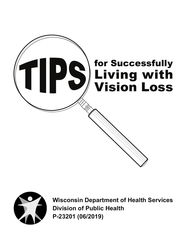



**Wisconsin Department of Health Services Division of Public Health P-23201 (06/2019)**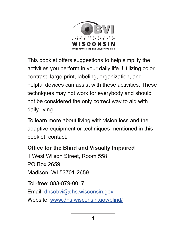

This booklet offers suggestions to help simplify the activities you perform in your daily life. Utilizing color contrast, large print, labeling, organization, and helpful devices can assist with these activities. These techniques may not work for everybody and should not be considered the only correct way to aid with daily living.

To learn more about living with vision loss and the adaptive equipment or techniques mentioned in this booklet, contact:

#### **Office for the Blind and Visually Impaired**

1 West Wilson Street, Room 558 PO Box 2659 Madison, WI 53701-2659 Toll-free: 888-879-0017 Email: dhsobvi@dhs.wisconsin.gov

Website: www.dhs.wisconsin.gov/blind/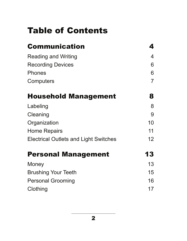## Table of Contents

| <b>Communication</b>                         | 4                |
|----------------------------------------------|------------------|
| <b>Reading and Writing</b>                   | $\boldsymbol{4}$ |
| <b>Recording Devices</b>                     | 6                |
| <b>Phones</b>                                | 6                |
| Computers                                    | $\overline{7}$   |
| <b>Household Management</b>                  | 8                |
| Labeling                                     | 8                |
| Cleaning                                     | 9                |
| Organization                                 | 10               |
| <b>Home Repairs</b>                          | 11               |
| <b>Electrical Outlets and Light Switches</b> | 12 <sup>2</sup>  |
| <b>Personal Management</b>                   | 13               |
| Money                                        | 13               |
| <b>Brushing Your Teeth</b>                   | 15               |
| <b>Personal Grooming</b>                     | 16               |
| Clothing                                     | 17               |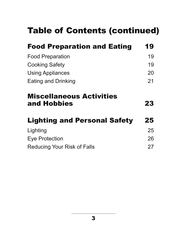## Table of Contents (continued)

| <b>Food Preparation and Eating</b>             | 19 |
|------------------------------------------------|----|
| <b>Food Preparation</b>                        | 19 |
| <b>Cooking Safety</b>                          | 19 |
| <b>Using Appliances</b>                        | 20 |
| <b>Eating and Drinking</b>                     | 21 |
| <b>Miscellaneous Activities</b><br>and Hobbies | 23 |
| <b>Lighting and Personal Safety</b>            | 25 |
| Lighting                                       | 25 |
| <b>Eye Protection</b>                          | 26 |
| <b>Reducing Your Risk of Falls</b>             | 27 |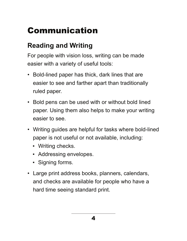# Communication

#### **Reading and Writing**

For people with vision loss, writing can be made easier with a variety of useful tools:

- Bold-lined paper has thick, dark lines that are easier to see and farther apart than traditionally ruled paper.
- Bold pens can be used with or without bold lined paper. Using them also helps to make your writing easier to see.
- Writing guides are helpful for tasks where bold-lined paper is not useful or not available, including:
	- Writing checks.
	- Addressing envelopes.
	- Signing forms.
- Large print address books, planners, calendars, and checks are available for people who have a hard time seeing standard print.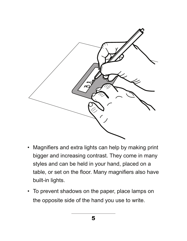

- Magnifiers and extra lights can help by making print bigger and increasing contrast. They come in many styles and can be held in your hand, placed on a table, or set on the floor. Many magnifiers also have built-in lights.
- To prevent shadows on the paper, place lamps on the opposite side of the hand you use to write.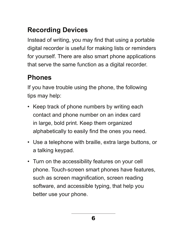### **Recording Devices**

Instead of writing, you may find that using a portable digital recorder is useful for making lists or reminders for yourself. There are also smart phone applications that serve the same function as a digital recorder.

#### **Phones**

If you have trouble using the phone, the following tips may help:

- Keep track of phone numbers by writing each contact and phone number on an index card in large, bold print. Keep them organized alphabetically to easily find the ones you need.
- Use a telephone with braille, extra large buttons, or a talking keypad.
- Turn on the accessibility features on your cell phone. Touch-screen smart phones have features, such as screen magnification, screen reading software, and accessible typing, that help you better use your phone.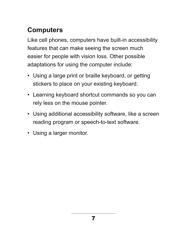#### **Computers**

Like cell phones, computers have built-in accessibility features that can make seeing the screen much easier for people with vision loss. Other possible adaptations for using the computer include:

- Using a large print or braille keyboard, or getting stickers to place on your existing keyboard.
- Learning keyboard shortcut commands so you can rely less on the mouse pointer.
- Using additional accessibility software, like a screen reading program or speech-to-text software.
- Using a larger monitor.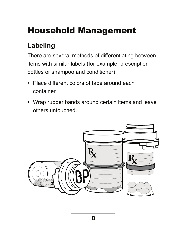## Household Management

#### **Labeling**

There are several methods of differentiating between items with similar labels (for example, prescription bottles or shampoo and conditioner):

- Place different colors of tape around each container.
- Wrap rubber bands around certain items and leave others untouched.

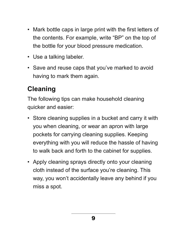- Mark bottle caps in large print with the first letters of the contents. For example, write "BP" on the top of the bottle for your blood pressure medication.
- Use a talking labeler.
- Save and reuse caps that you've marked to avoid having to mark them again.

#### **Cleaning**

The following tips can make household cleaning quicker and easier:

- Store cleaning supplies in a bucket and carry it with you when cleaning, or wear an apron with large pockets for carrying cleaning supplies. Keeping everything with you will reduce the hassle of having to walk back and forth to the cabinet for supplies.
- Apply cleaning sprays directly onto your cleaning cloth instead of the surface you're cleaning. This way, you won't accidentally leave any behind if you miss a spot.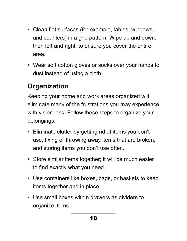- Clean flat surfaces (for example, tables, windows, and counters) in a grid pattern. Wipe up and down, then left and right, to ensure you cover the entire area.
- Wear soft cotton gloves or socks over your hands to dust instead of using a cloth.

#### **Organization**

Keeping your home and work areas organized will eliminate many of the frustrations you may experience with vision loss. Follow these steps to organize your belongings:

- Eliminate clutter by getting rid of items you don't use, fixing or throwing away items that are broken, and storing items you don't use often.
- Store similar items together; it will be much easier to find exactly what you need.
- Use containers like boxes, bags, or baskets to keep items together and in place.
- Use small boxes within drawers as dividers to organize items.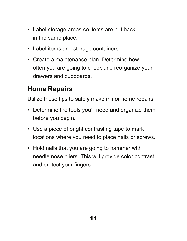- Label storage areas so items are put back in the same place.
- Label items and storage containers.
- Create a maintenance plan. Determine how often you are going to check and reorganize your drawers and cupboards.

#### **Home Repairs**

Utilize these tips to safely make minor home repairs:

- Determine the tools you'll need and organize them before you begin.
- Use a piece of bright contrasting tape to mark locations where you need to place nails or screws.
- Hold nails that you are going to hammer with needle nose pliers. This will provide color contrast and protect your fingers.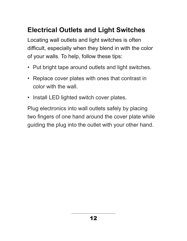#### **Electrical Outlets and Light Switches**

Locating wall outlets and light switches is often difficult, especially when they blend in with the color of your walls. To help, follow these tips:

- Put bright tape around outlets and light switches.
- Replace cover plates with ones that contrast in color with the wall.
- Install LED lighted switch cover plates.

Plug electronics into wall outlets safely by placing two fingers of one hand around the cover plate while guiding the plug into the outlet with your other hand.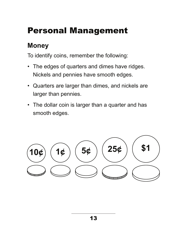## Personal Management

#### **Money**

To identify coins, remember the following:

- The edges of quarters and dimes have ridges. Nickels and pennies have smooth edges.
- Quarters are larger than dimes, and nickels are larger than pennies.
- The dollar coin is larger than a quarter and has smooth edges.

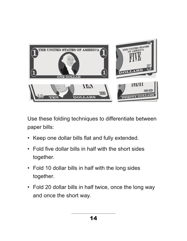

Use these folding techniques to differentiate between paper bills:

- Keep one dollar bills flat and fully extended.
- Fold five dollar bills in half with the short sides together.
- Fold 10 dollar bills in half with the long sides together.
- Fold 20 dollar bills in half twice, once the long way and once the short way.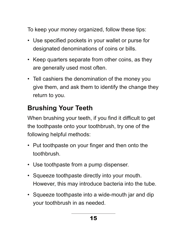To keep your money organized, follow these tips:

- Use specified pockets in your wallet or purse for designated denominations of coins or bills.
- Keep quarters separate from other coins, as they are generally used most often.
- Tell cashiers the denomination of the money you give them, and ask them to identify the change they return to you.

#### **Brushing Your Teeth**

When brushing your teeth, if you find it difficult to get the toothpaste onto your toothbrush, try one of the following helpful methods:

- Put toothpaste on your finger and then onto the toothbrush.
- Use toothpaste from a pump dispenser.
- Squeeze toothpaste directly into your mouth. However, this may introduce bacteria into the tube.
- Squeeze toothpaste into a wide-mouth jar and dip your toothbrush in as needed.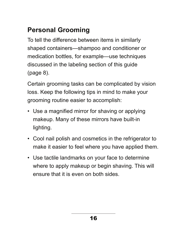### **Personal Grooming**

To tell the difference between items in similarly shaped containers—shampoo and conditioner or medication bottles, for example—use techniques discussed in the labeling section of this guide (page 8).

Certain grooming tasks can be complicated by vision loss. Keep the following tips in mind to make your grooming routine easier to accomplish:

- Use a magnified mirror for shaving or applying makeup. Many of these mirrors have built-in lighting.
- Cool nail polish and cosmetics in the refrigerator to make it easier to feel where you have applied them.
- Use tactile landmarks on your face to determine where to apply makeup or begin shaving. This will ensure that it is even on both sides.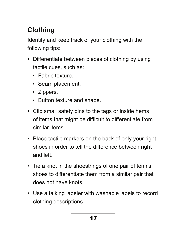## **Clothing**

Identify and keep track of your clothing with the following tips:

- Differentiate between pieces of clothing by using tactile cues, such as:
	- Fabric texture.
	- Seam placement.
	- Zippers.
	- Button texture and shape.
- Clip small safety pins to the tags or inside hems of items that might be difficult to differentiate from similar items.
- Place tactile markers on the back of only your right shoes in order to tell the difference between right and left.
- Tie a knot in the shoestrings of one pair of tennis shoes to differentiate them from a similar pair that does not have knots.
- Use a talking labeler with washable labels to record clothing descriptions.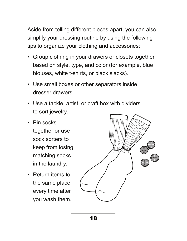Aside from telling different pieces apart, you can also simplify your dressing routine by using the following tips to organize your clothing and accessories:

- Group clothing in your drawers or closets together based on style, type, and color (for example, blue blouses, white t-shirts, or black slacks).
- Use small boxes or other separators inside dresser drawers.
- Use a tackle, artist, or craft box with dividers to sort jewelry.
- Pin socks together or use sock sorters to keep from losing matching socks in the laundry.
- Return items to the same place every time after you wash them.

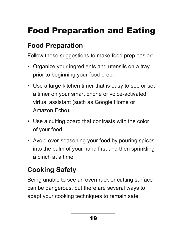# Food Preparation and Eating

#### **Food Preparation**

Follow these suggestions to make food prep easier:

- Organize your ingredients and utensils on a tray prior to beginning your food prep.
- Use a large kitchen timer that is easy to see or set a timer on your smart phone or voice-activated virtual assistant (such as Google Home or Amazon Echo).
- Use a cutting board that contrasts with the color of your food.
- Avoid over-seasoning your food by pouring spices into the palm of your hand first and then sprinkling a pinch at a time.

## **Cooking Safety**

Being unable to see an oven rack or cutting surface can be dangerous, but there are several ways to adapt your cooking techniques to remain safe: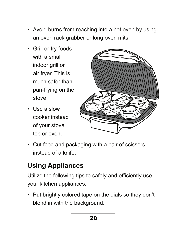- Avoid burns from reaching into a hot oven by using an oven rack grabber or long oven mits.
- Grill or fry foods with a small indoor grill or air fryer. This is much safer than pan-frying on the stove.
- Use a slow cooker instead of your stove top or oven.



• Cut food and packaging with a pair of scissors instead of a knife.

### **Using Appliances**

Utilize the following tips to safely and efficiently use your kitchen appliances:

• Put brightly colored tape on the dials so they don't blend in with the background.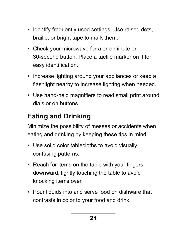- Identify frequently used settings. Use raised dots, braille, or bright tape to mark them.
- Check your microwave for a one-minute or 30-second button. Place a tactile marker on it for easy identification.
- Increase lighting around your appliances or keep a flashlight nearby to increase lighting when needed.
- Use hand-held magnifiers to read small print around dials or on buttons.

### **Eating and Drinking**

Minimize the possibility of messes or accidents when eating and drinking by keeping these tips in mind:

- Use solid color tablecloths to avoid visually confusing patterns.
- Reach for items on the table with your fingers downward, lightly touching the table to avoid knocking items over.
- Pour liquids into and serve food on dishware that contrasts in color to your food and drink.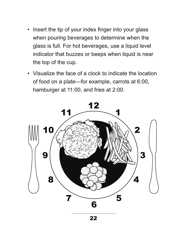- Insert the tip of your index finger into your glass when pouring beverages to determine when the glass is full. For hot beverages, use a liquid level indicator that buzzes or beeps when liquid is near the top of the cup.
- Visualize the face of a clock to indicate the location of food on a plate—for example, carrots at 6:00, hamburger at 11:00, and fries at 2:00.

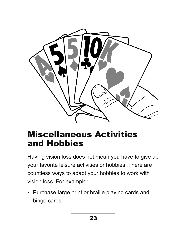

## Miscellaneous Activities and Hobbies

Having vision loss does not mean you have to give up your favorite leisure activities or hobbies. There are countless ways to adapt your hobbies to work with vision loss. For example:

• Purchase large print or braille playing cards and bingo cards.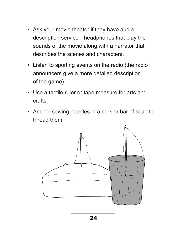- Ask your movie theater if they have audio description service—headphones that play the sounds of the movie along with a narrator that describes the scenes and characters.
- Listen to sporting events on the radio (the radio announcers give a more detailed description of the game).
- Use a tactile ruler or tape measure for arts and crafts.
- Anchor sewing needles in a cork or bar of soap to thread them.

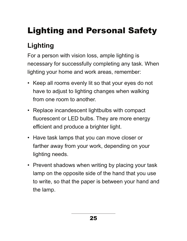# Lighting and Personal Safety

## **Lighting**

For a person with vision loss, ample lighting is necessary for successfully completing any task. When lighting your home and work areas, remember:

- Keep all rooms evenly lit so that your eyes do not have to adjust to lighting changes when walking from one room to another.
- Replace incandescent lightbulbs with compact fluorescent or LED bulbs. They are more energy efficient and produce a brighter light.
- Have task lamps that you can move closer or farther away from your work, depending on your lighting needs.
- Prevent shadows when writing by placing your task lamp on the opposite side of the hand that you use to write, so that the paper is between your hand and the lamp.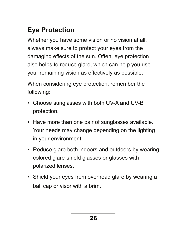## **Eye Protection**

Whether you have some vision or no vision at all, always make sure to protect your eyes from the damaging effects of the sun. Often, eye protection also helps to reduce glare, which can help you use your remaining vision as effectively as possible.

When considering eye protection, remember the following:

- Choose sunglasses with both UV-A and UV-B protection.
- Have more than one pair of sunglasses available. Your needs may change depending on the lighting in your environment.
- Reduce glare both indoors and outdoors by wearing colored glare-shield glasses or glasses with polarized lenses.
- Shield your eyes from overhead glare by wearing a ball cap or visor with a brim.